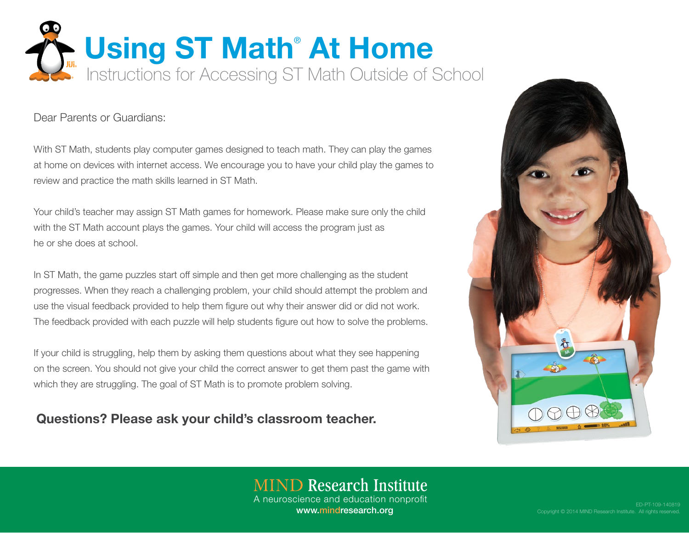

Dear Parents or Guardians:

With ST Math, students play computer games designed to teach math. They can play the games at home on devices with internet access. We encourage you to have your child play the games to review and practice the math skills learned in ST Math.

Your child's teacher may assign ST Math games for homework. Please make sure only the child with the ST Math account plays the games. Your child will access the program just as he or she does at school.

In ST Math, the game puzzles start off simple and then get more challenging as the student progresses. When they reach a challenging problem, your child should attempt the problem and use the visual feedback provided to help them figure out why their answer did or did not work. The feedback provided with each puzzle will help students figure out how to solve the problems.

If your child is struggling, help them by asking them questions about what they see happening on the screen. You should not give your child the correct answer to get them past the game with which they are struggling. The goal of ST Math is to promote problem solving.

Questions? Please ask your child's classroom teacher.



### **MIND Research Institute** A neuroscience and education nonprofit